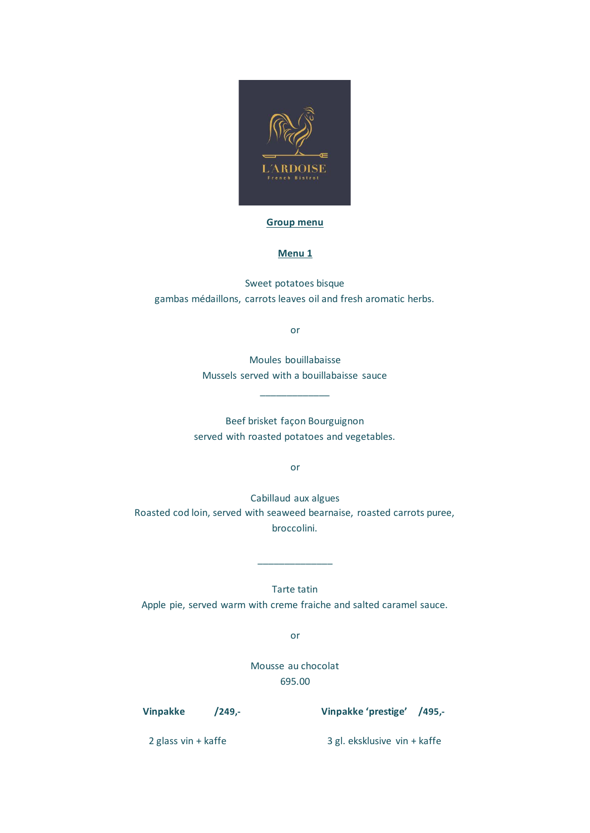

## **Group menu**

## **Menu 1**

Sweet potatoes bisque gambas médaillons, carrots leaves oil and fresh aromatic herbs.

or

Moules bouillabaisse Mussels served with a bouillabaisse sauce

\_\_\_\_\_\_\_\_\_\_\_\_\_

Beef brisket façon Bourguignon served with roasted potatoes and vegetables.

or

Cabillaud aux algues Roasted cod loin, served with seaweed bearnaise, roasted carrots puree, broccolini.

Tarte tatin Apple pie, served warm with creme fraiche and salted caramel sauce.

\_\_\_\_\_\_\_\_\_\_\_\_\_\_

or

Mousse au chocolat 695.00

**Vinpakke /249,- Vinpakke 'prestige' /495,-**

2 glass vin + kaffe 3 gl. eksklusive vin + kaffe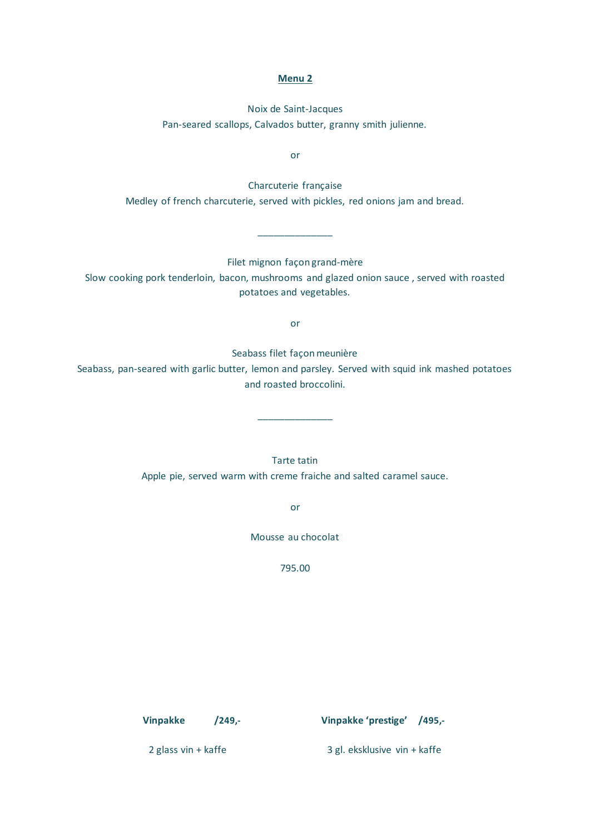## **Menu 2**

Noix de Saint-Jacques Pan-seared scallops, Calvados butter, granny smith julienne.

or

Charcuterie française Medley of french charcuterie, served with pickles, red onions jam and bread.

Filet mignon façon grand-mère

\_\_\_\_\_\_\_\_\_\_\_\_\_\_

Slow cooking pork tenderloin, bacon, mushrooms and glazed onion sauce , served with roasted potatoes and vegetables.

or

Seabass filet façon meunière

Seabass, pan-seared with garlic butter, lemon and parsley. Served with squid ink mashed potatoes and roasted broccolini.

\_\_\_\_\_\_\_\_\_\_\_\_\_\_

Tarte tatin Apple pie, served warm with creme fraiche and salted caramel sauce.

or

Mousse au chocolat

795.00

**Vinpakke /249,- Vinpakke 'prestige' /495,-**

2 glass vin + kaffe 3 gl. eksklusive vin + kaffe